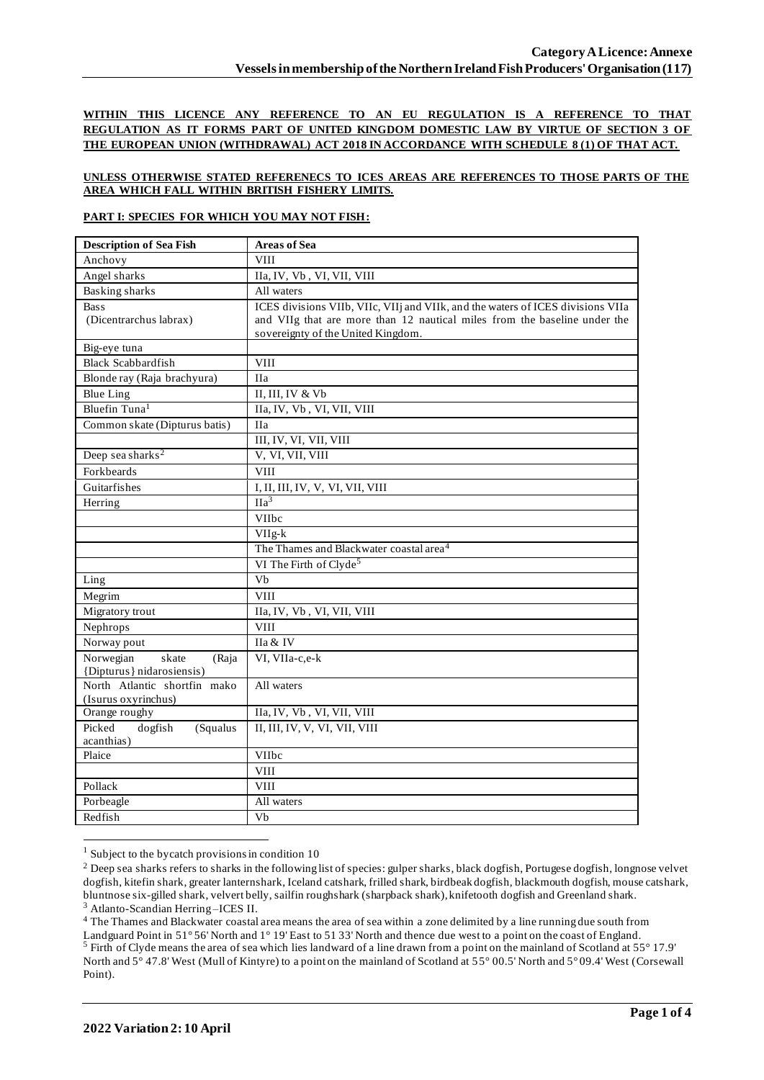**WITHIN THIS LICENCE ANY REFERENCE TO AN EU REGULATION IS A REFERENCE TO THAT REGULATION AS IT FORMS PART OF UNITED KINGDOM DOMESTIC LAW BY VIRTUE OF SECTION 3 OF THE EUROPEAN UNION (WITHDRAWAL) ACT 2018 IN ACCORDANCE WITH SCHEDULE 8 (1) OF THAT ACT.**

## **UNLESS OTHERWISE STATED REFERENECS TO ICES AREAS ARE REFERENCES TO THOSE PARTS OF THE AREA WHICH FALL WITHIN BRITISH FISHERY LIMITS.**

## **PART I: SPECIES FOR WHICH YOU MAY NOT FISH:**

| <b>Description of Sea Fish</b> | <b>Areas of Sea</b>                                                             |
|--------------------------------|---------------------------------------------------------------------------------|
| Anchovy                        | <b>VIII</b>                                                                     |
| Angel sharks                   | IIa, IV, Vb, VI, VII, VIII                                                      |
| <b>Basking sharks</b>          | All waters                                                                      |
| <b>Bass</b>                    | ICES divisions VIIb, VIIc, VIIj and VIIk, and the waters of ICES divisions VIIa |
| (Dicentrarchus labrax)         | and VIIg that are more than 12 nautical miles from the baseline under the       |
|                                | sovereignty of the United Kingdom.                                              |
| Big-eye tuna                   |                                                                                 |
| <b>Black Scabbardfish</b>      | <b>VIII</b>                                                                     |
| Blonde ray (Raja brachyura)    | <b>IIa</b>                                                                      |
| <b>Blue Ling</b>               | II, III, IV & Vb                                                                |
| Bluefin Tuna <sup>1</sup>      | IIa, IV, Vb, VI, VII, VIII                                                      |
| Common skate (Dipturus batis)  | <b>IIa</b>                                                                      |
|                                | III, IV, VI, VII, VIII                                                          |
| Deep sea sharks <sup>2</sup>   | V, VI, VII, VIII                                                                |
| Forkbeards                     | <b>VIII</b>                                                                     |
| Guitarfishes                   | I, II, III, IV, V, VI, VII, VIII                                                |
| Herring                        | $\Pi a^3$                                                                       |
|                                | VIIbc                                                                           |
|                                | $VIIg-k$                                                                        |
|                                | The Thames and Blackwater coastal area <sup>4</sup>                             |
|                                | VI The Firth of Clyde <sup>5</sup>                                              |
| Ling                           | $\overline{Vb}$                                                                 |
| Megrim                         | <b>VIII</b>                                                                     |
| Migratory trout                | IIa, IV, Vb, VI, VII, VIII                                                      |
| Nephrops                       | <b>VIII</b>                                                                     |
| Norway pout                    | IIa & IV                                                                        |
| Norwegian<br>skate<br>(Raja    | VI, VIIa-c,e-k                                                                  |
| {Dipturus} nidarosiensis}      |                                                                                 |
| North Atlantic shortfin mako   | All waters                                                                      |
| (Isurus oxyrinchus)            |                                                                                 |
| Orange roughy                  | IIa, IV, Vb, VI, VII, VIII                                                      |
| Picked<br>dogfish<br>(Squalus  | II, III, IV, V, VI, VII, VIII                                                   |
| acanthias)<br>Plaice           | VIIbc                                                                           |
|                                | <b>VIII</b>                                                                     |
| Pollack                        | <b>VIII</b>                                                                     |
|                                |                                                                                 |
| Porbeagle                      | All waters                                                                      |
| Redfish                        | $\overline{V}$                                                                  |

 $1$  Subject to the bycatch provisions in condition 10

<sup>3</sup> Atlanto-Scandian Herring –ICES II.

<sup>4</sup> The Thames and Blackwater coastal area means the area of sea within a zone delimited by a line running due south from Landguard Point in 51° 56' North and 1° 19' East to 51 33' North and thence due west to a point on the coast of England. <sup>5</sup> Firth of Clyde means the area of sea which lies landward of a line drawn from a point on the mainland of Scotland at 55° 17.9' North and 5° 47.8' West (Mull of Kintyre) to a point on the mainland of Scotland at 55° 00.5' North and 5° 09.4' West (Corsewall Point).

<sup>&</sup>lt;sup>2</sup> Deep sea sharks refers to sharks in the following list of species: gulper sharks, black dogfish, Portugese dogfish, longnose velvet dogfish, kitefin shark, greater lanternshark, Iceland catshark, frilled shark, birdbeak dogfish, blackmouth dogfish, mouse catshark, bluntnose six-gilled shark, velvert belly, sailfin roughshark (sharpback shark), knifetooth dogfish and Greenland shark.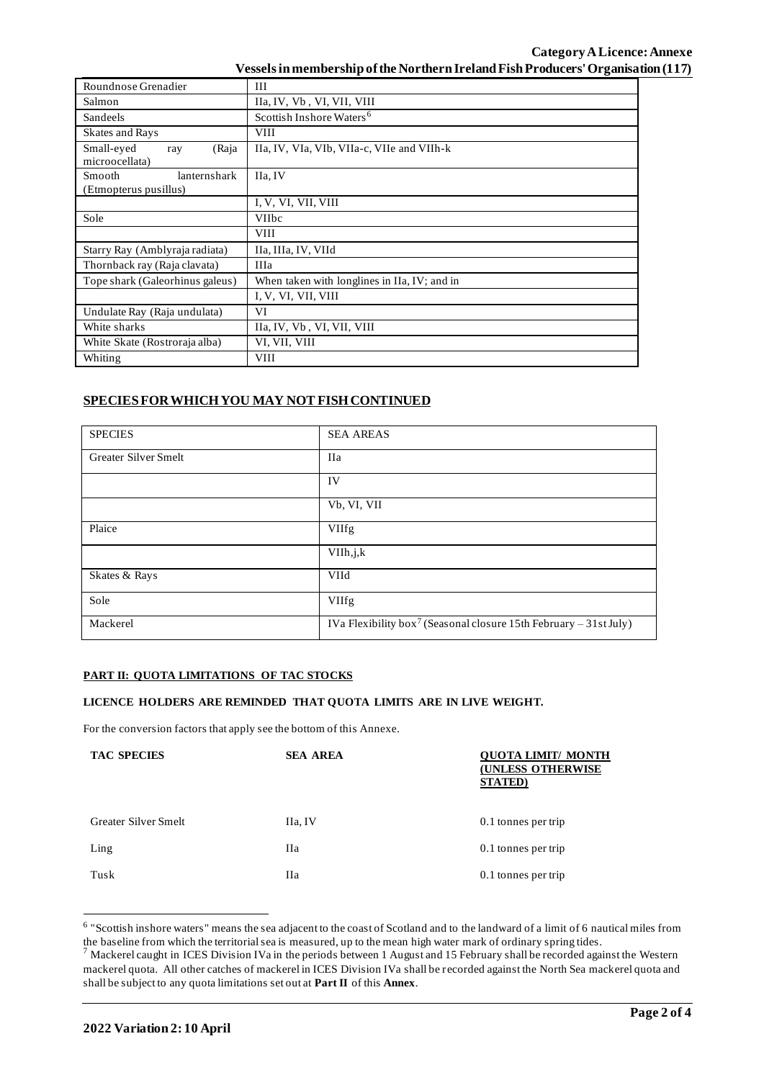## **Category ALicence: Annexe Vessels in membership of the Northern Ireland Fish Producers' Organisation (117)**

| Roundnose Grenadier                                    | III                                          |  |
|--------------------------------------------------------|----------------------------------------------|--|
| Salmon                                                 | IIa, IV, Vb, VI, VII, VIII                   |  |
| Sandeels                                               | Scottish Inshore Waters <sup>6</sup>         |  |
| <b>Skates and Rays</b>                                 | <b>VIII</b>                                  |  |
| Small-eyed<br>(Raja<br>ray<br>microocellata)           | IIa, IV, VIa, VIb, VIIa-c, VIIe and VIIh-k   |  |
| lanternshark<br><b>Smooth</b><br>(Etmopterus pusillus) | IIa, IV                                      |  |
|                                                        | I, V, VI, VII, VIII                          |  |
| Sole                                                   | <b>VIIbc</b>                                 |  |
|                                                        | <b>VIII</b>                                  |  |
| Starry Ray (Amblyraja radiata)                         | IIa, IIIa, IV, VIId                          |  |
| Thornback ray (Raja clavata)                           | <b>IIIa</b>                                  |  |
| Tope shark (Galeorhinus galeus)                        | When taken with longlines in IIa, IV; and in |  |
|                                                        | I, V, VI, VII, VIII                          |  |
| Undulate Ray (Raja undulata)                           | VI                                           |  |
| White sharks                                           | IIa, IV, Vb, VI, VII, VIII                   |  |
| White Skate (Rostroraja alba)                          | VI, VII, VIII                                |  |
| Whiting                                                | <b>VIII</b>                                  |  |

# **SPECIES FOR WHICH YOU MAY NOT FISH CONTINUED**

| <b>SPECIES</b>       | <b>SEA AREAS</b>                                                              |
|----------------------|-------------------------------------------------------------------------------|
| Greater Silver Smelt | <b>IIa</b>                                                                    |
|                      | IV                                                                            |
|                      | Vb, VI, VII                                                                   |
| Plaice               | <b>VIIfg</b>                                                                  |
|                      | VIIh, j, k                                                                    |
| Skates & Rays        | VIId                                                                          |
| Sole                 | <b>VIIfg</b>                                                                  |
| Mackerel             | IVa Flexibility box <sup>7</sup> (Seasonal closure 15th February – 31st July) |

## **PART II: QUOTA LIMITATIONS OF TAC STOCKS**

#### **LICENCE HOLDERS ARE REMINDED THAT QUOTA LIMITS ARE IN LIVE WEIGHT.**

For the conversion factors that apply see the bottom of this Annexe.

| <b>TAC SPECIES</b>   | <b>SEA AREA</b> | OUOT <u>A LIMIT/ MONTH</u><br><b>(UNLESS OTHERWISE</b><br><b>STATED</b> ) |
|----------------------|-----------------|---------------------------------------------------------------------------|
| Greater Silver Smelt | IIa, IV         | 0.1 tonnes per trip                                                       |
| Ling                 | Пa              | 0.1 tonnes per trip                                                       |
| Tusk                 | Пa              | 0.1 tonnes per trip                                                       |

<sup>&</sup>lt;sup>6</sup> "Scottish inshore waters" means the sea adjacent to the coast of Scotland and to the landward of a limit of 6 nautical miles from the baseline from which the territorial sea is measured, up to the mean high water mark of ordinary spring tides.

 $^7$  Mackerel caught in ICES Division IVa in the periods between 1 August and 15 February shall be recorded against the Western mackerel quota. All other catches of mackerel in ICES Division IVa shall be recorded against the North Sea mackerel quota and shall be subject to any quota limitations set out at **Part II** of this **Annex**.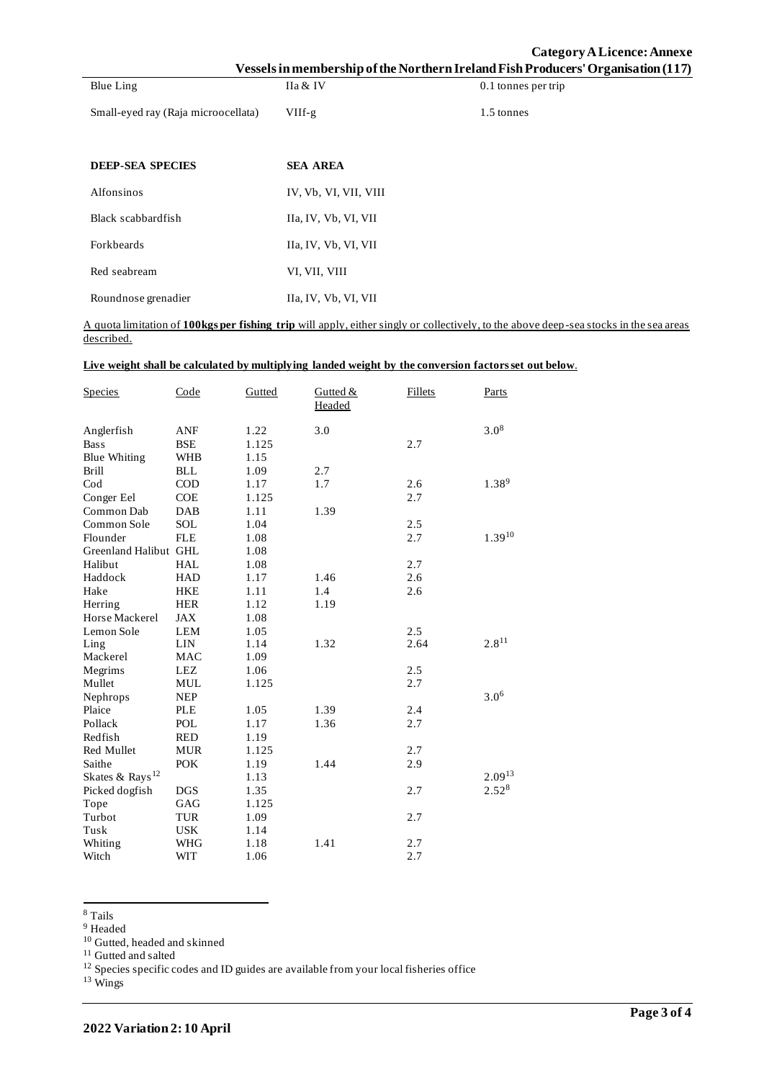|                                     |                       | Category A Licence: Annexe<br>Vessels in membership of the Northern Ireland Fish Producers' Organisation (117) |
|-------------------------------------|-----------------------|----------------------------------------------------------------------------------------------------------------|
| Blue Ling                           | IIa & IV              | 0.1 tonnes per trip                                                                                            |
| Small-eyed ray (Raja microocellata) | $VIIf-g$              | 1.5 tonnes                                                                                                     |
|                                     |                       |                                                                                                                |
| <b>DEEP-SEA SPECIES</b>             | <b>SEA AREA</b>       |                                                                                                                |
| Alfonsinos                          | IV, Vb, VI, VII, VIII |                                                                                                                |
| Black scabbardfish                  | IIa, IV, Vb, VI, VII  |                                                                                                                |
| Forkbeards                          | IIa, IV, Vb, VI, VII  |                                                                                                                |
| Red seabream                        | VI, VII, VIII         |                                                                                                                |

A quota limitation of **100kgs per fishing trip** will apply, either singly or collectively, to the above deep-sea stocks in the sea areas described.

| Live weight shall be calculated by multiplying landed weight by the conversion factors set out below. |
|-------------------------------------------------------------------------------------------------------|
|-------------------------------------------------------------------------------------------------------|

Roundnose grenadier IIa, IV, Vb, VI, VII

| <b>Species</b>              | Code       | Gutted | Gutted $&$<br>Headed | Fillets | Parts             |
|-----------------------------|------------|--------|----------------------|---------|-------------------|
| Anglerfish                  | ANF        | 1.22   | 3.0                  |         | $3.0^{8}$         |
| <b>Bass</b>                 | <b>BSE</b> | 1.125  |                      | 2.7     |                   |
| <b>Blue Whiting</b>         | <b>WHB</b> | 1.15   |                      |         |                   |
| <b>Brill</b>                | <b>BLL</b> | 1.09   | 2.7                  |         |                   |
| $\mathrm{Cod}$              | $\rm COD$  | 1.17   | 1.7                  | 2.6     | $1.38^{9}$        |
| Conger Eel                  | <b>COE</b> | 1.125  |                      | 2.7     |                   |
| Common Dab                  | <b>DAB</b> | 1.11   | 1.39                 |         |                   |
| Common Sole                 | <b>SOL</b> | 1.04   |                      | 2.5     |                   |
| Flounder                    | <b>FLE</b> | 1.08   |                      | 2.7     | $1.39^{10}$       |
| Greenland Halibut GHL       |            | 1.08   |                      |         |                   |
| Halibut                     | <b>HAL</b> | 1.08   |                      | 2.7     |                   |
| Haddock                     | <b>HAD</b> | 1.17   | 1.46                 | 2.6     |                   |
| Hake                        | <b>HKE</b> | 1.11   | 1.4                  | 2.6     |                   |
| Herring                     | <b>HER</b> | 1.12   | 1.19                 |         |                   |
| Horse Mackerel              | <b>JAX</b> | 1.08   |                      |         |                   |
| Lemon Sole                  | <b>LEM</b> | 1.05   |                      | 2.5     |                   |
| Ling                        | <b>LIN</b> | 1.14   | 1.32                 | 2.64    | $2.8^{11}$        |
| Mackerel                    | <b>MAC</b> | 1.09   |                      |         |                   |
| Megrims                     | <b>LEZ</b> | 1.06   |                      | 2.5     |                   |
| Mullet                      | <b>MUL</b> | 1.125  |                      | 2.7     |                   |
| Nephrops                    | <b>NEP</b> |        |                      |         | $3.0^{6}$         |
| Plaice                      | <b>PLE</b> | 1.05   | 1.39                 | 2.4     |                   |
| Pollack                     | POL        | 1.17   | 1.36                 | 2.7     |                   |
| Redfish                     | <b>RED</b> | 1.19   |                      |         |                   |
| Red Mullet                  | <b>MUR</b> | 1.125  |                      | 2.7     |                   |
| Saithe                      | <b>POK</b> | 1.19   | 1.44                 | 2.9     |                   |
| Skates & Rays <sup>12</sup> |            | 1.13   |                      |         | $2.09^{13}$       |
| Picked dogfish              | <b>DGS</b> | 1.35   |                      | 2.7     | 2.52 <sup>8</sup> |
| Tope                        | GAG        | 1.125  |                      |         |                   |
| Turbot                      | <b>TUR</b> | 1.09   |                      | 2.7     |                   |
| Tusk                        | <b>USK</b> | 1.14   |                      |         |                   |
| Whiting                     | <b>WHG</b> | 1.18   | 1.41                 | 2.7     |                   |
| Witch                       | <b>WIT</b> | 1.06   |                      | 2.7     |                   |

<sup>8</sup> Tails

<sup>9</sup> Headed

<sup>10</sup> Gutted, headed and skinned

<sup>11</sup> Gutted and salted

 $12$  Species specific codes and ID guides are available from your local fisheries office

<sup>13</sup> Wings